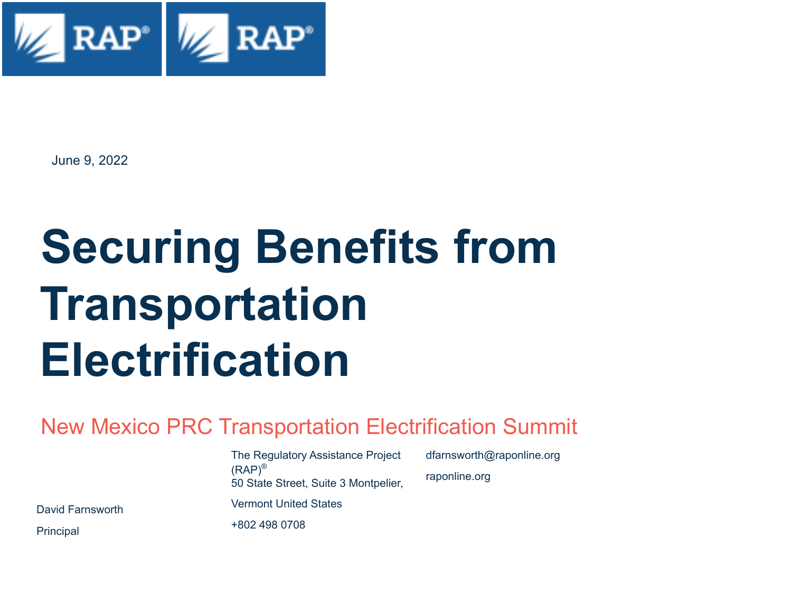

June 9, 2022

# **Securing Benefits from Transportation Electrification**

New Mexico PRC Transportation Electrification Summit

The Regulatory Assistance Project (RAP) ® 50 State Street, Suite 3 Montpelier, Vermont United States

dfarnsworth@raponline.org raponline.org

David Farnsworth Principal

+802 498 0708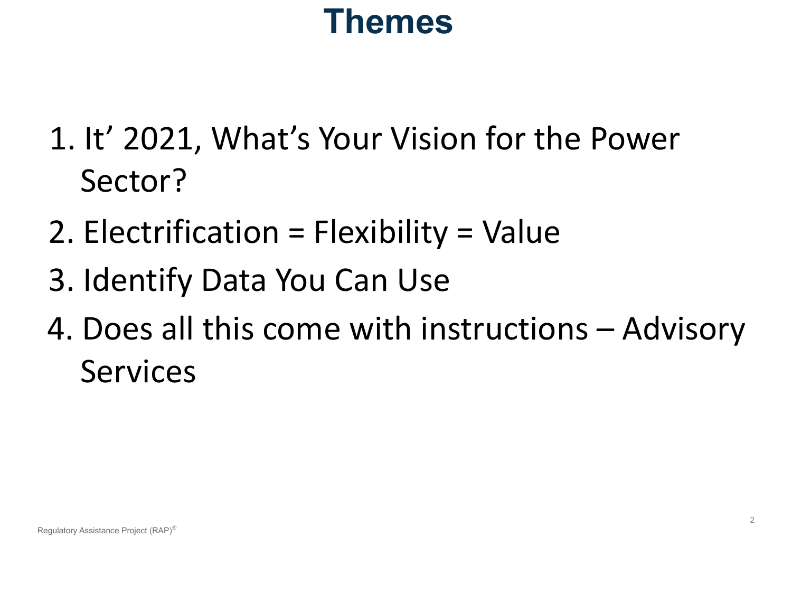## **Themes**

- 1. It' 2021, What's Your Vision for the Power Sector?
- 2. Electrification = Flexibility = Value
- 3. Identify Data You Can Use
- 4. Does all this come with instructions Advisory Services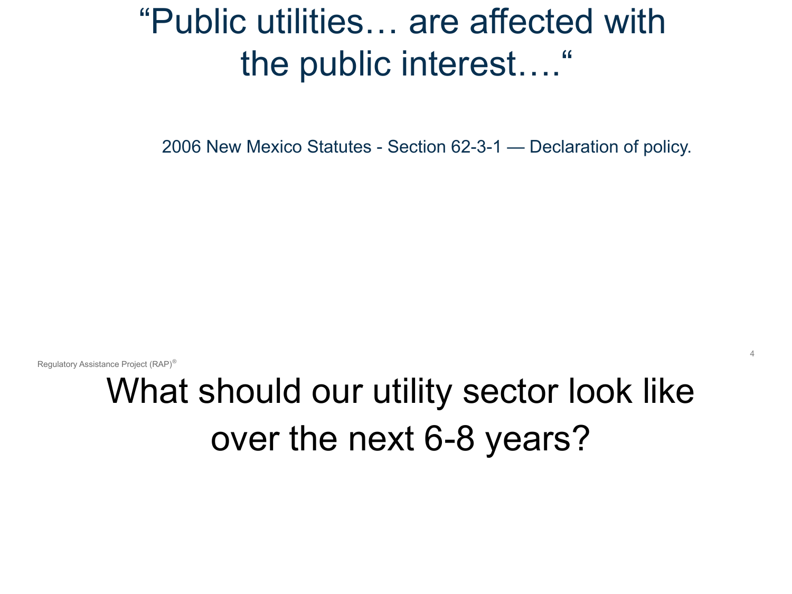### "Public utilities… are affected with the public interest…."

2006 New Mexico Statutes - Section 62-3-1 — Declaration of policy.

Regulatory Assistance Project (RAP) ®

## What should our utility sector look like over the next 6-8 years?

4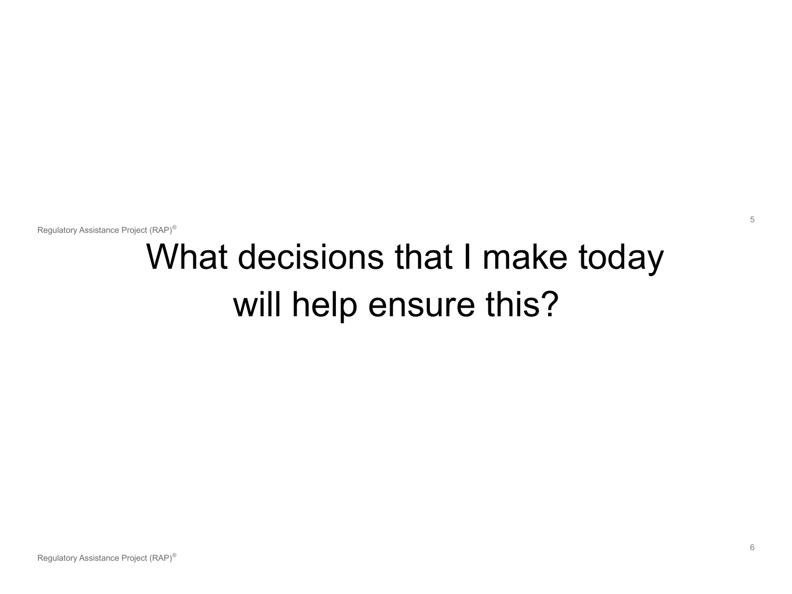# What decisions that I make today will help ensure this?

5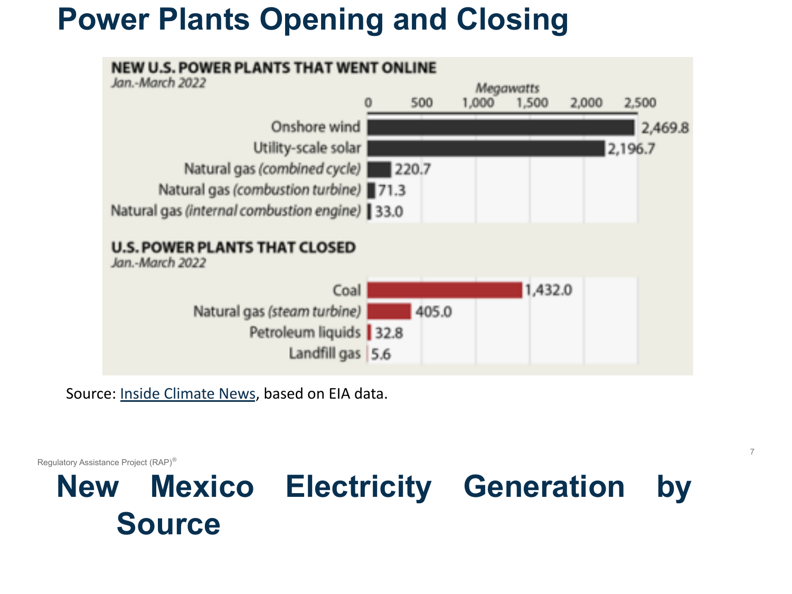### **Power Plants Opening and Closing**



Source: Inside Climate News, based on EIA data.

Regulatory Assistance Project (RAP) ®

### **New Mexico Electricity Generation by Source**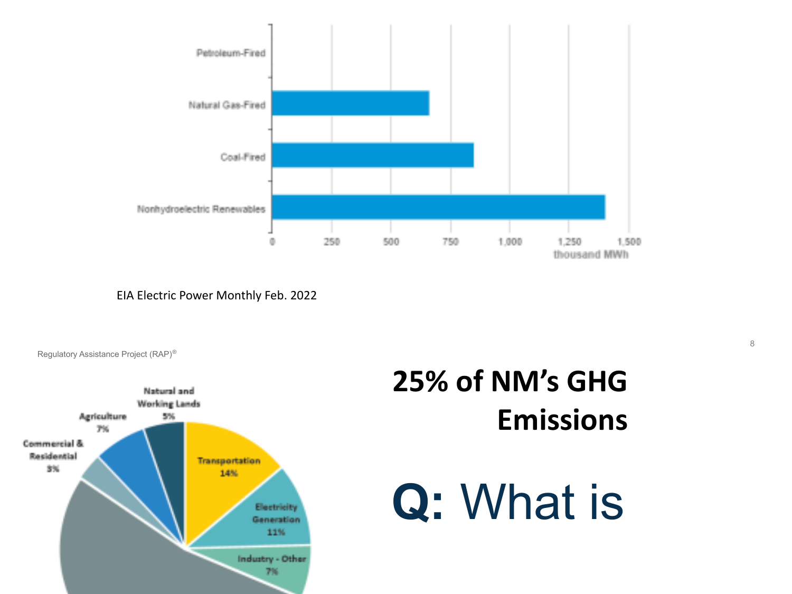

EIA Electric Power Monthly Feb. 2022



### **25% of NM's GHG Emissions**

8

**Q:** What is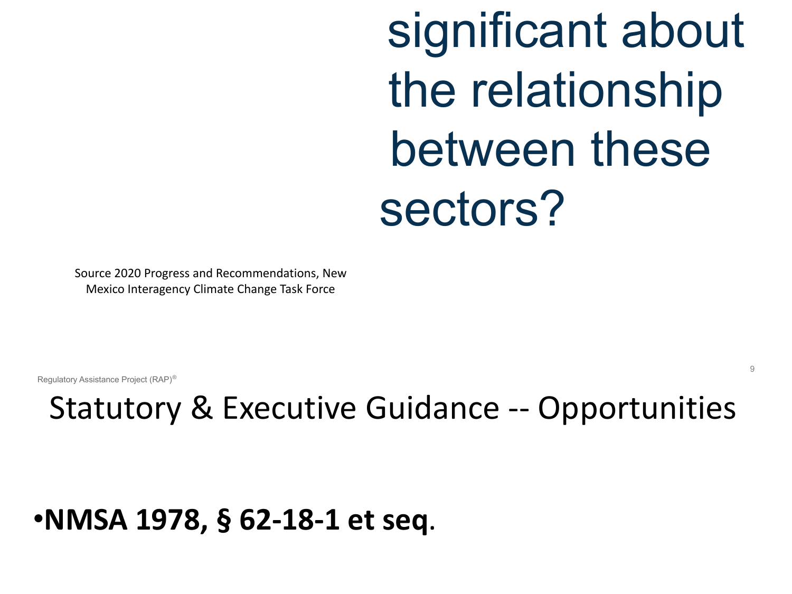significant about the relationship between these sectors?

Source 2020 Progress and Recommendations, New Mexico Interagency Climate Change Task Force

Regulatory Assistance Project (RAP) ®

Statutory & Executive Guidance -- Opportunities

#### •**NMSA 1978, § 62-18-1 et seq**.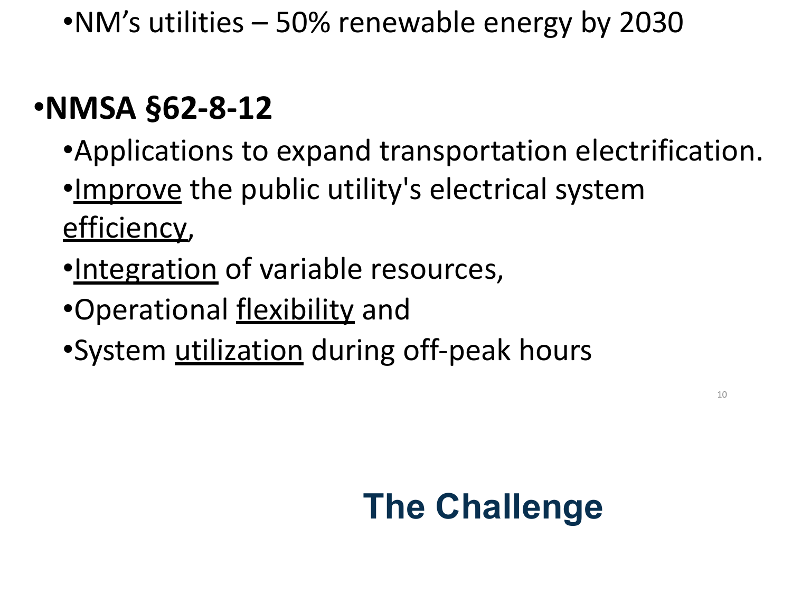•NM's utilities – 50% renewable energy by 2030

### •**NMSA §62-8-12**

- •Applications to expand transportation electrification. •Improve the public utility's electrical system efficiency,
- •Integration of variable resources,
- •Operational flexibility and
- •System utilization during off-peak hours

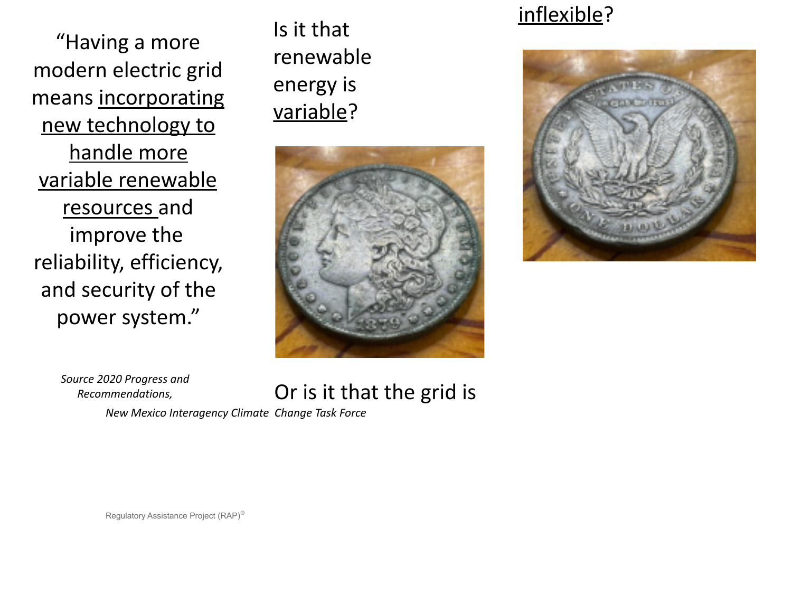"Having a more modern electric grid means incorporating new technology to handle more variable renewable resources and improve the reliability, efficiency, and security of the power system."

Is it that renewable energy is variable?



#### inflexible?



*Source 2020 Progress and Recommendations,*

#### Or is it that the grid is

*New Mexico Interagency Climate Change Task Force*

Regulatory Assistance Project (RAP) ®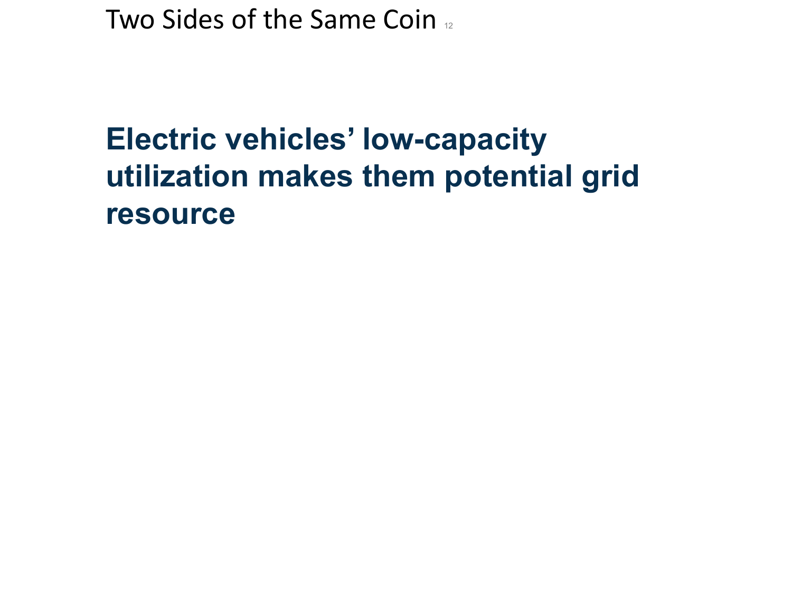Two Sides of the Same Coin <sup>12</sup>

### **Electric vehicles' low-capacity utilization makes them potential grid resource**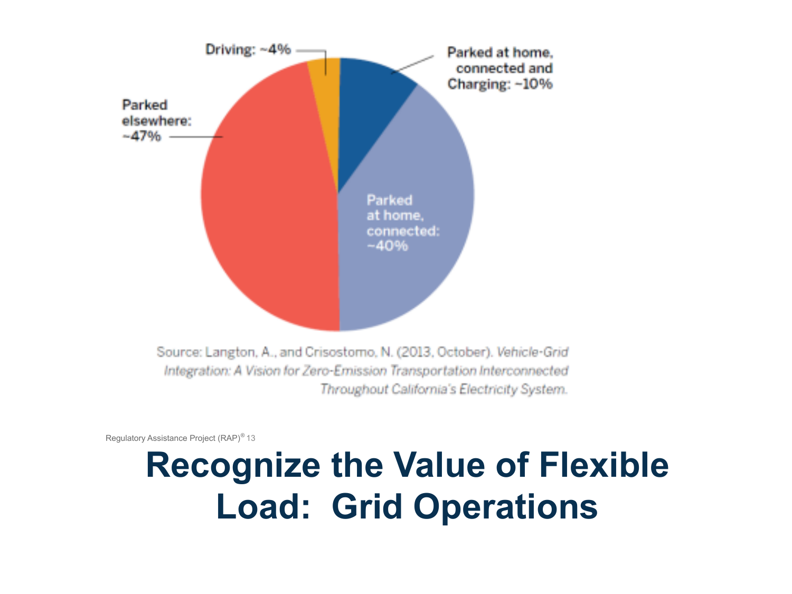

Throughout California's Electricity System.

Regulatory Assistance Project (RAP) ® 13

# **Recognize the Value of Flexible Load: Grid Operations**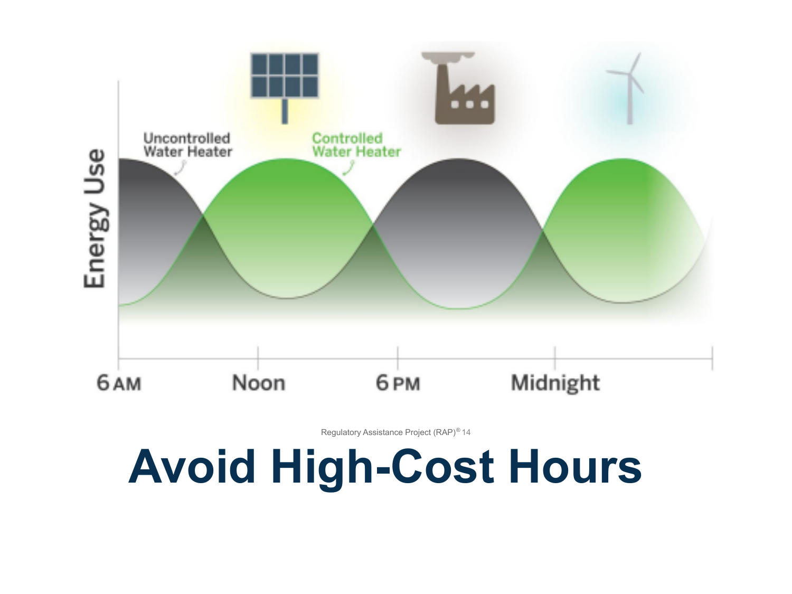

# **Avoid High-Cost Hours**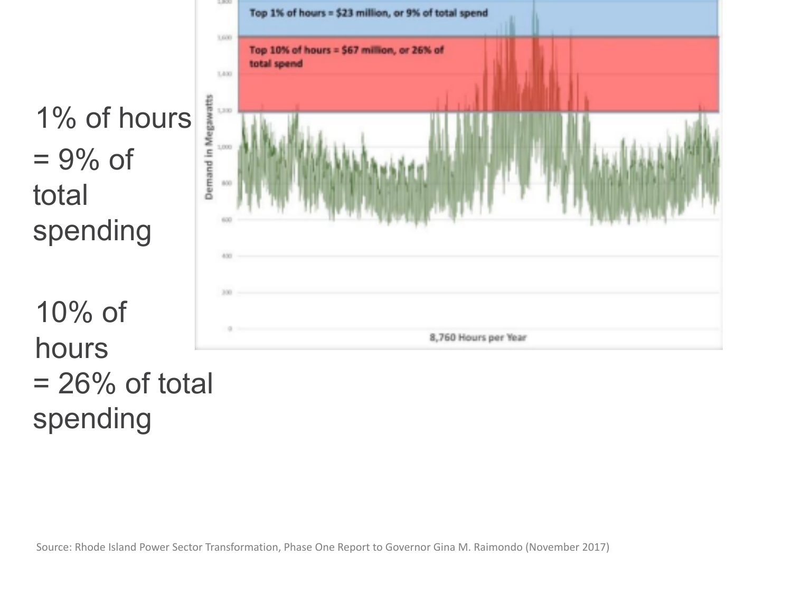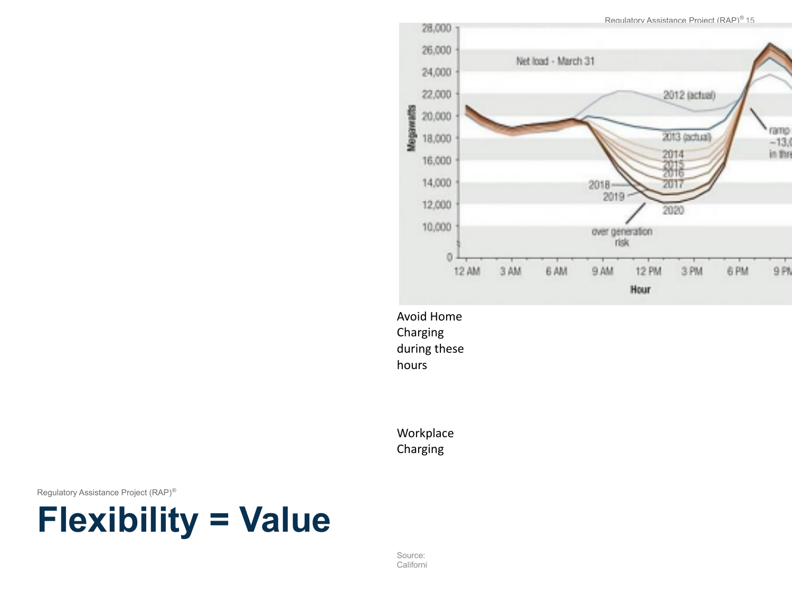

Avoid Home Charging during these hours

Workplace Charging

Regulatory Assistance Project (RAP) ®



Source: Californi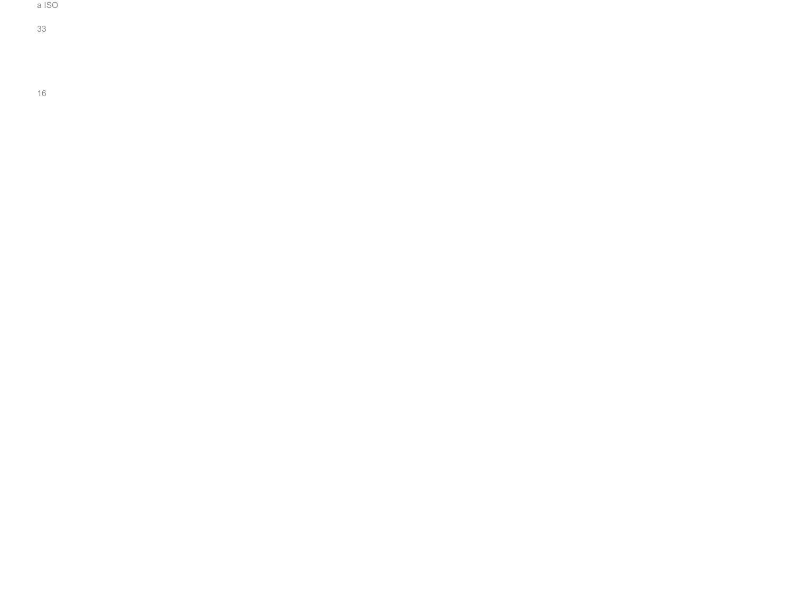a ISO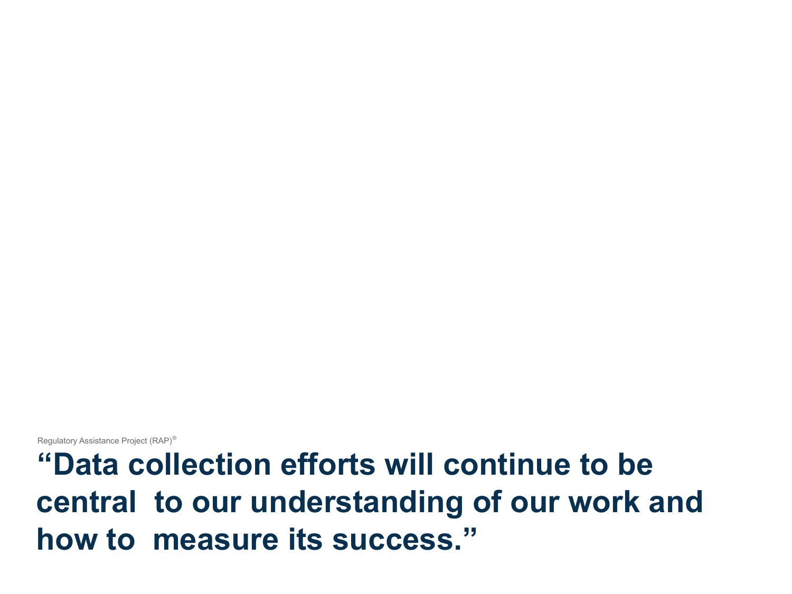**"Data collection efforts will continue to be central to our understanding of our work and how to measure its success."**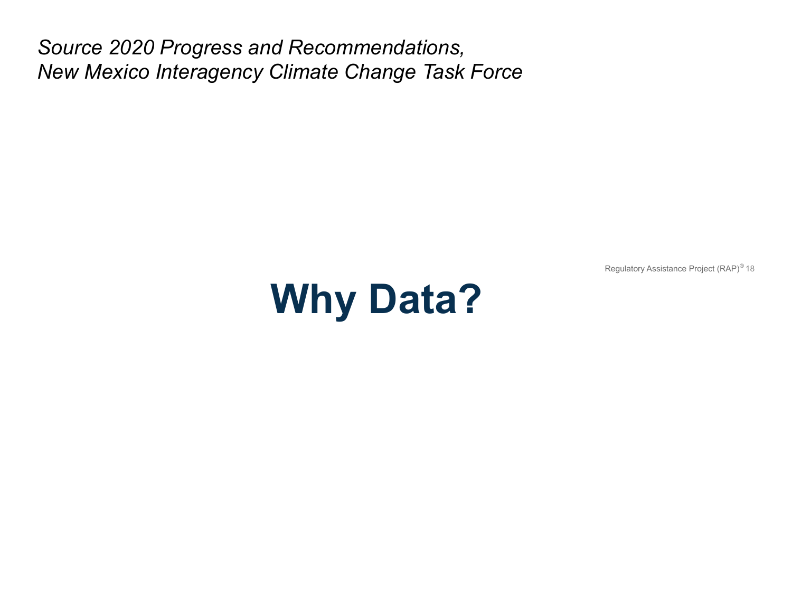*Source 2020 Progress and Recommendations, New Mexico Interagency Climate Change Task Force*

Regulatory Assistance Project (RAP) ® 18

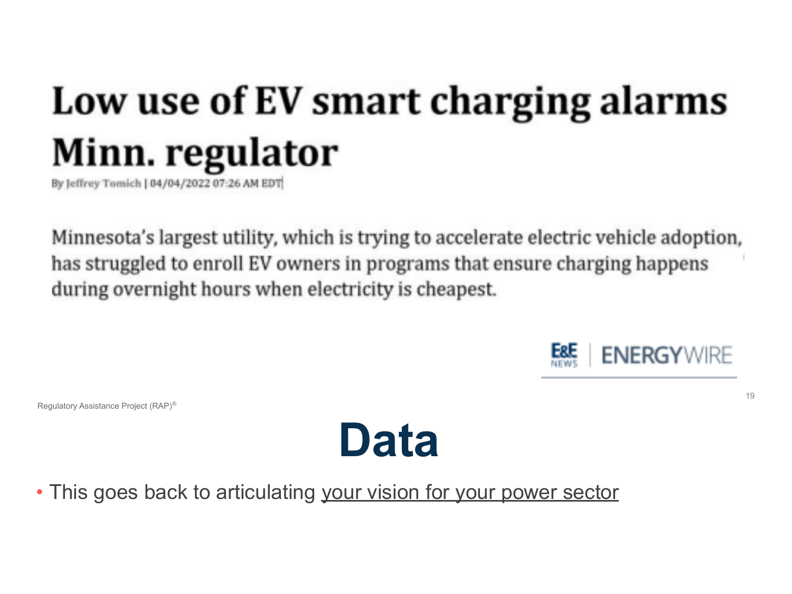# Low use of EV smart charging alarms Minn. regulator

By Jeffrey Tomich | 04/04/2022 07:26 AM EDT

Minnesota's largest utility, which is trying to accelerate electric vehicle adoption, has struggled to enroll EV owners in programs that ensure charging happens during overnight hours when electricity is cheapest.



19

Regulatory Assistance Project (RAP) ®



• This goes back to articulating your vision for your power sector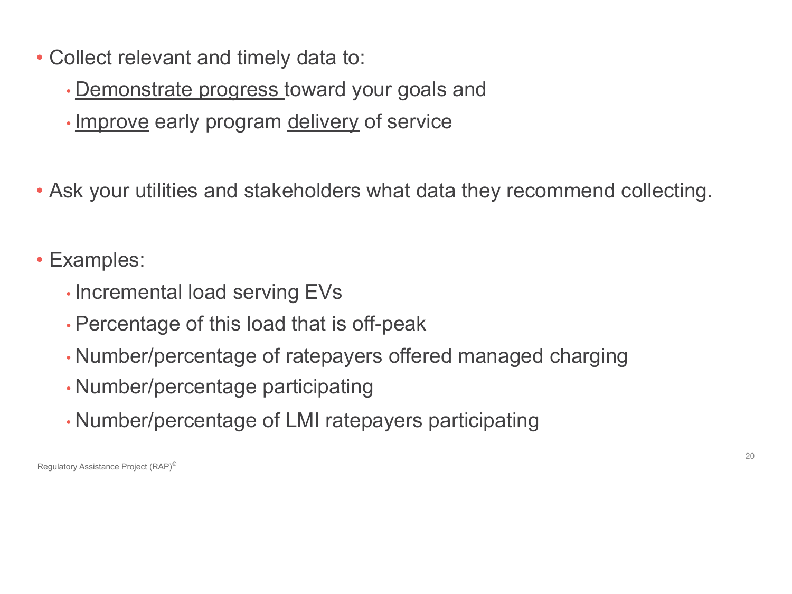- Collect relevant and timely data to:
	- Demonstrate progress toward your goals and
	- Improve early program delivery of service
- Ask your utilities and stakeholders what data they recommend collecting.
- Examples:
	- Incremental load serving EVs
	- Percentage of this load that is off-peak
	- Number/percentage of ratepayers offered managed charging
	- Number/percentage participating
	- Number/percentage of LMI ratepayers participating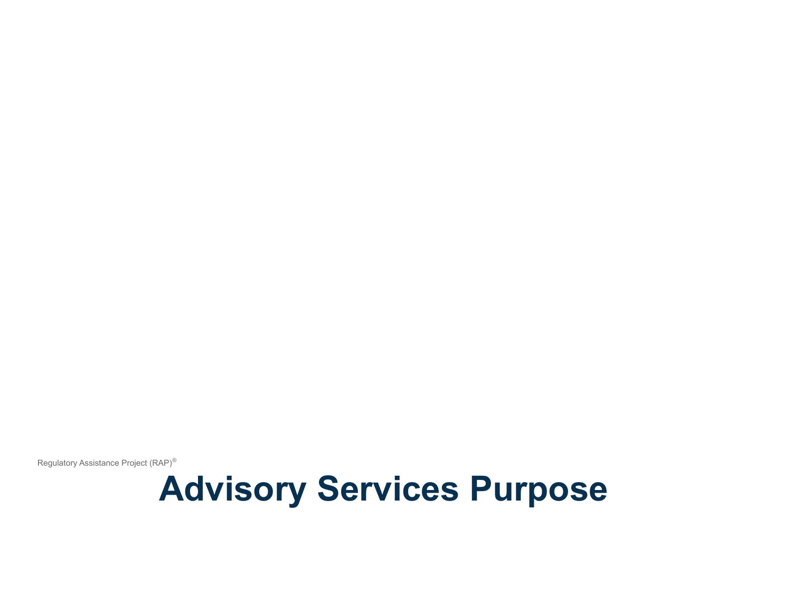### **Advisory Services Purpose**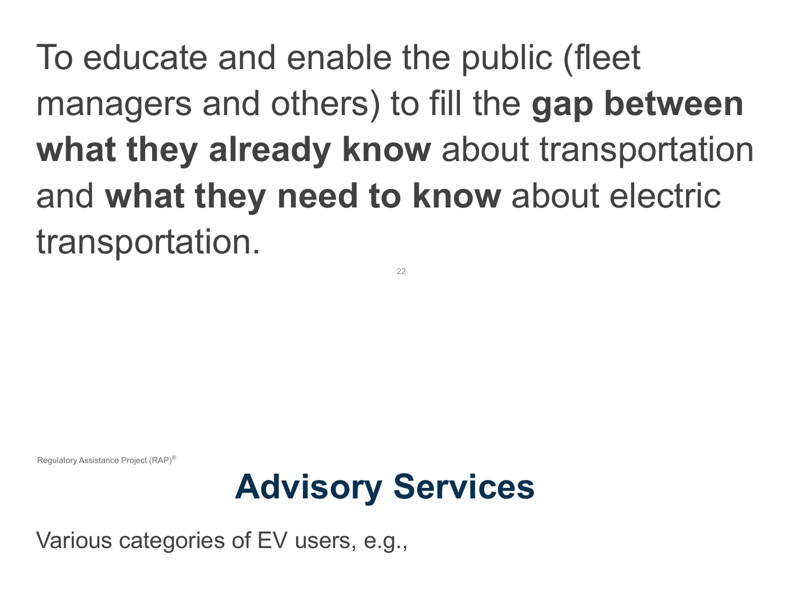To educate and enable the public (fleet managers and others) to fill the **gap between what they already know** about transportation and **what they need to know** about electric transportation.

22

Regulatory Assistance Project (RAP) ®

### **Advisory Services**

Various categories of EV users, e.g.,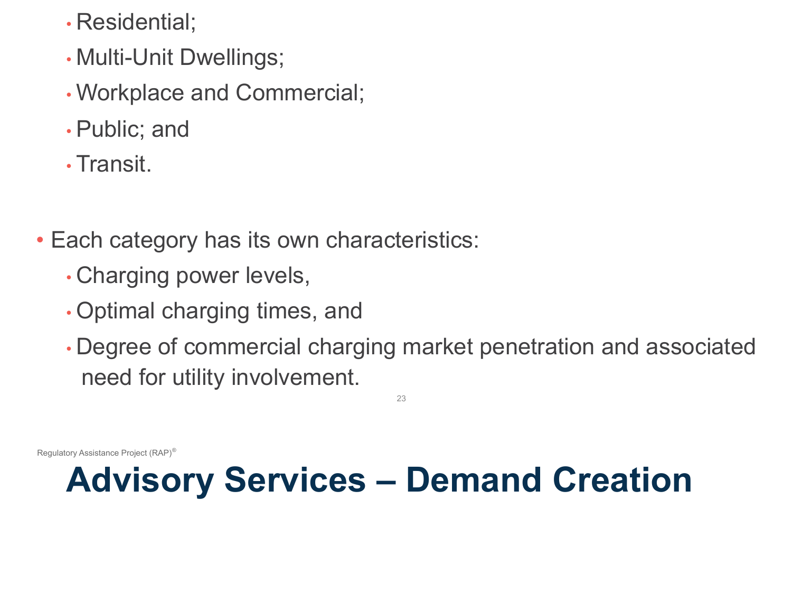• Residential;

- Multi-Unit Dwellings;
- Workplace and Commercial;
- Public; and
- Transit.
- Each category has its own characteristics:
	- Charging power levels,
	- Optimal charging times, and
	- Degree of commercial charging market penetration and associated need for utility involvement.

23

Regulatory Assistance Project (RAP) ®

# **Advisory Services – Demand Creation**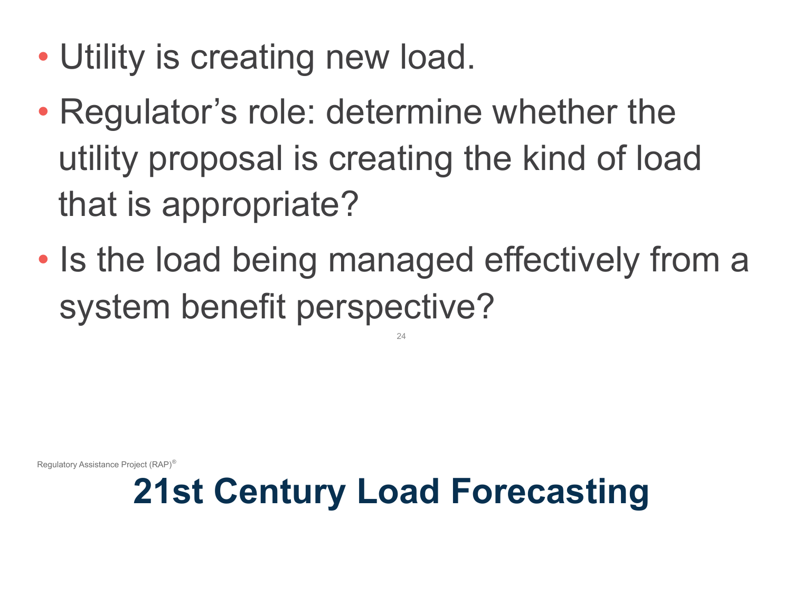- Utility is creating new load.
- Regulator's role: determine whether the utility proposal is creating the kind of load that is appropriate?
- Is the load being managed effectively from a system benefit perspective?

24

Regulatory Assistance Project (RAP)<sup>®</sup>

**21st Century Load Forecasting**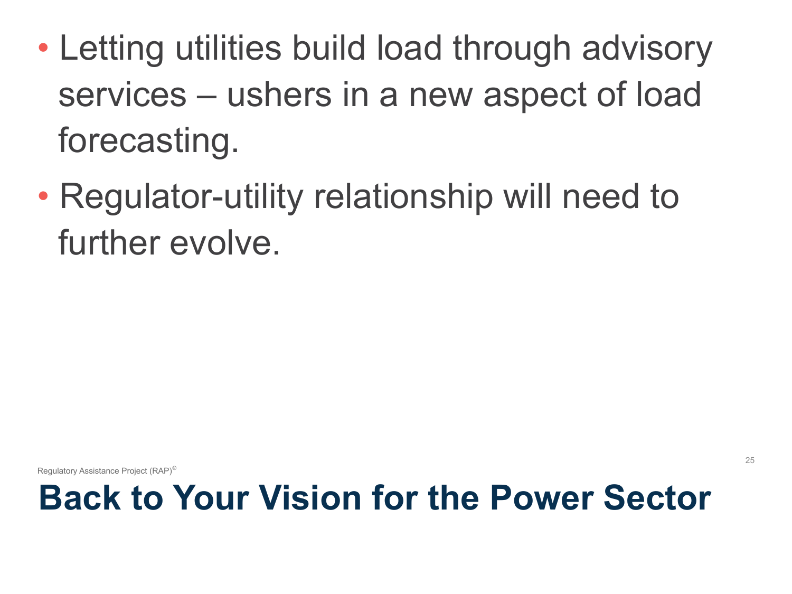- Letting utilities build load through advisory services – ushers in a new aspect of load forecasting.
- Regulator-utility relationship will need to further evolve.

### **Back to Your Vision for the Power Sector**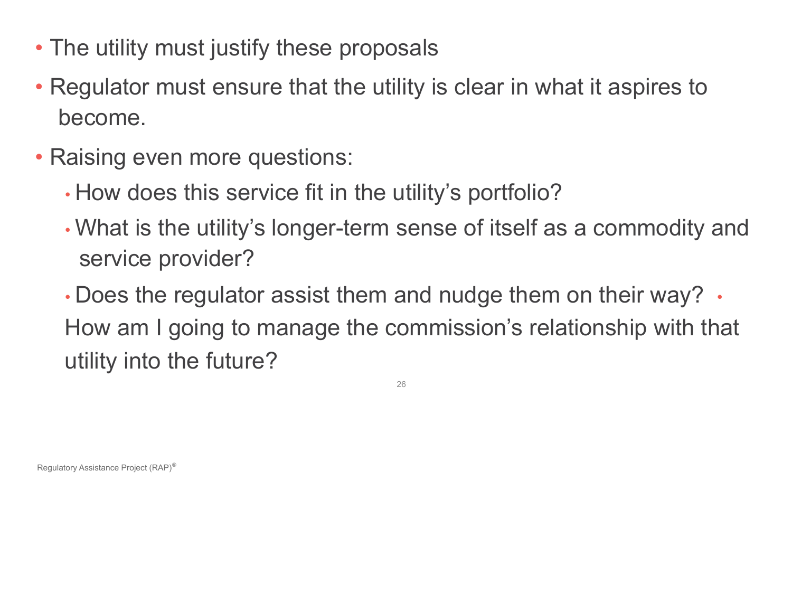- The utility must justify these proposals
- Regulator must ensure that the utility is clear in what it aspires to become.
- Raising even more questions:
	- How does this service fit in the utility's portfolio?
	- What is the utility's longer-term sense of itself as a commodity and service provider?
	- Does the regulator assist them and nudge them on their way? How am I going to manage the commission's relationship with that utility into the future?

26

Regulatory Assistance Project (RAP) ®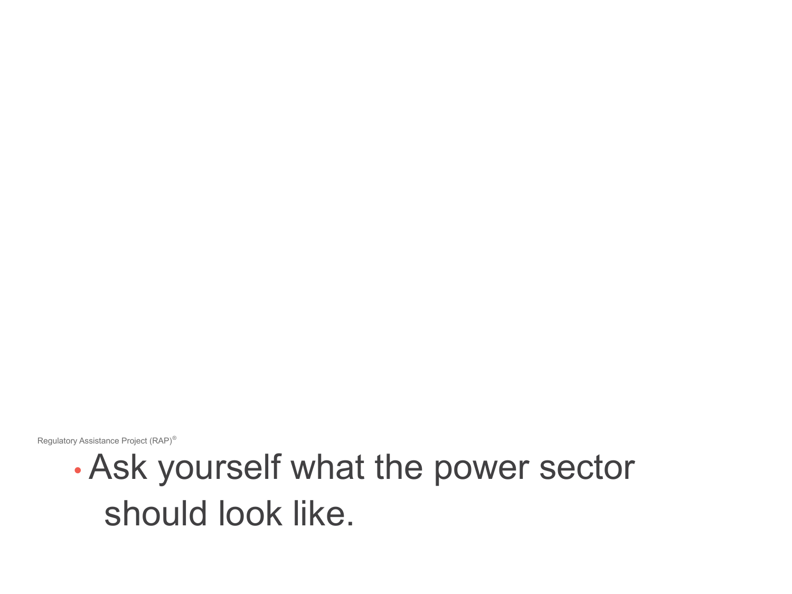• Ask yourself what the power sector should look like.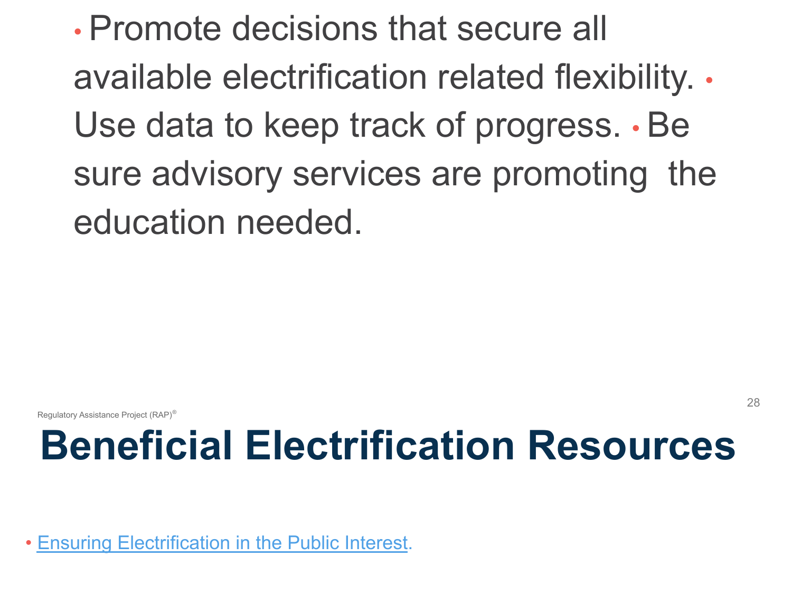• Promote decisions that secure all available electrification related flexibility. • Use data to keep track of progress. • Be sure advisory services are promoting the education needed.

Regulatory Assistance Project (RAP) ®

# **Beneficial Electrification Resources**

• Ensuring Electrification in the Public Interest.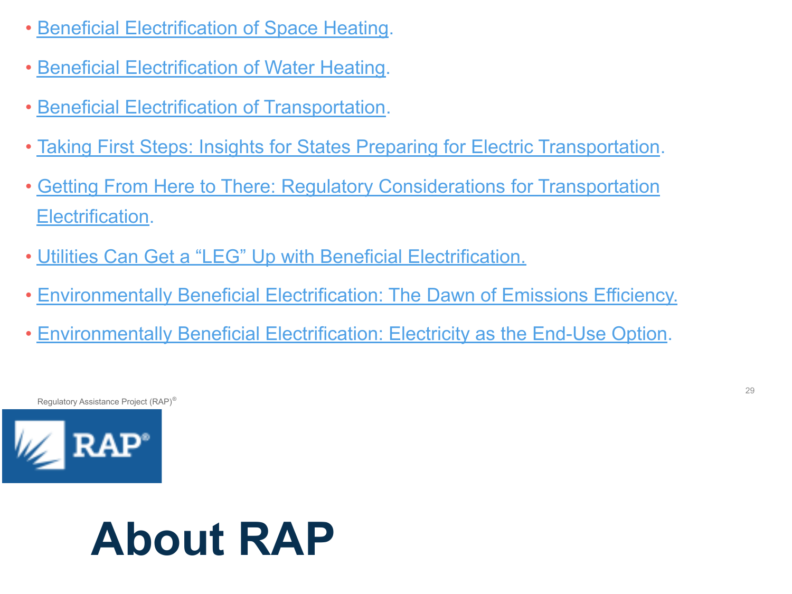- Beneficial Electrification of Space Heating.
- Beneficial Electrification of Water Heating.
- Beneficial Electrification of Transportation.
- Taking First Steps: Insights for States Preparing for Electric Transportation.
- Getting From Here to There: Regulatory Considerations for Transportation Electrification.
- Utilities Can Get a "LEG" Up with Beneficial Electrification.
- Environmentally Beneficial Electrification: The Dawn of Emissions Efficiency.
- Environmentally Beneficial Electrification: Electricity as the End-Use Option.





# **About RAP**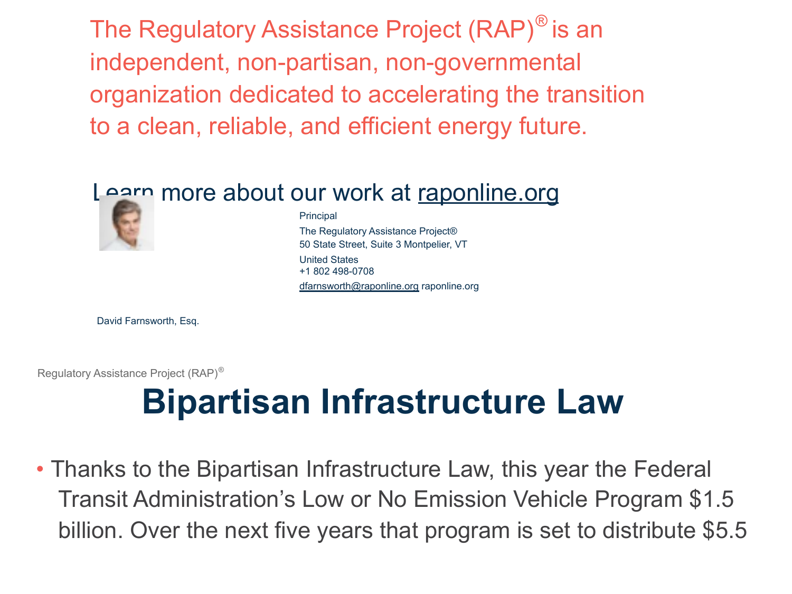The Regulatory Assistance Project (RAP)<sup>®</sup> is an independent, non-partisan, non-governmental organization dedicated to accelerating the transition to a clean, reliable, and efficient energy future.





Principal

The Regulatory Assistance Project® 50 State Street, Suite 3 Montpelier, VT United States +1 802 498-0708 dfarnsworth@raponline.org raponline.org

David Farnsworth, Esq.

Regulatory Assistance Project (RAP)<sup>®</sup>

### **Bipartisan Infrastructure Law**

• Thanks to the Bipartisan Infrastructure Law, this year the Federal Transit Administration's Low or No Emission Vehicle Program \$1.5 billion. Over the next five years that program is set to distribute \$5.5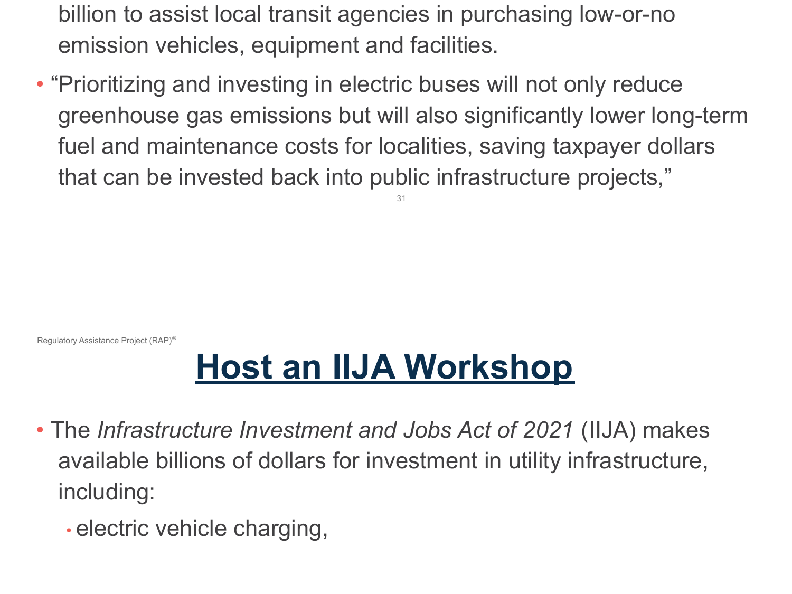billion to assist local transit agencies in purchasing low-or-no emission vehicles, equipment and facilities.

• "Prioritizing and investing in electric buses will not only reduce greenhouse gas emissions but will also significantly lower long-term fuel and maintenance costs for localities, saving taxpayer dollars that can be invested back into public infrastructure projects,"

31

Regulatory Assistance Project (RAP)<sup>®</sup>

# **Host an IIJA Workshop**

- The *Infrastructure Investment and Jobs Act of 2021* (IIJA) makes available billions of dollars for investment in utility infrastructure, including:
	- electric vehicle charging,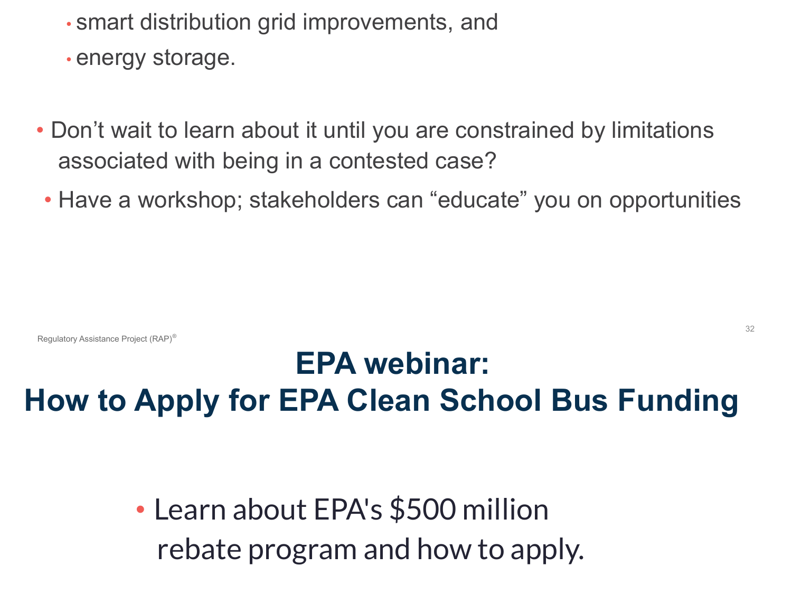- smart distribution grid improvements, and
- energy storage.
- Don't wait to learn about it until you are constrained by limitations associated with being in a contested case?
- Have a workshop; stakeholders can "educate" you on opportunities

### **EPA webinar: How to Apply for EPA Clean School Bus Funding**

• Learn about EPA's \$500 million rebate program and how to apply.